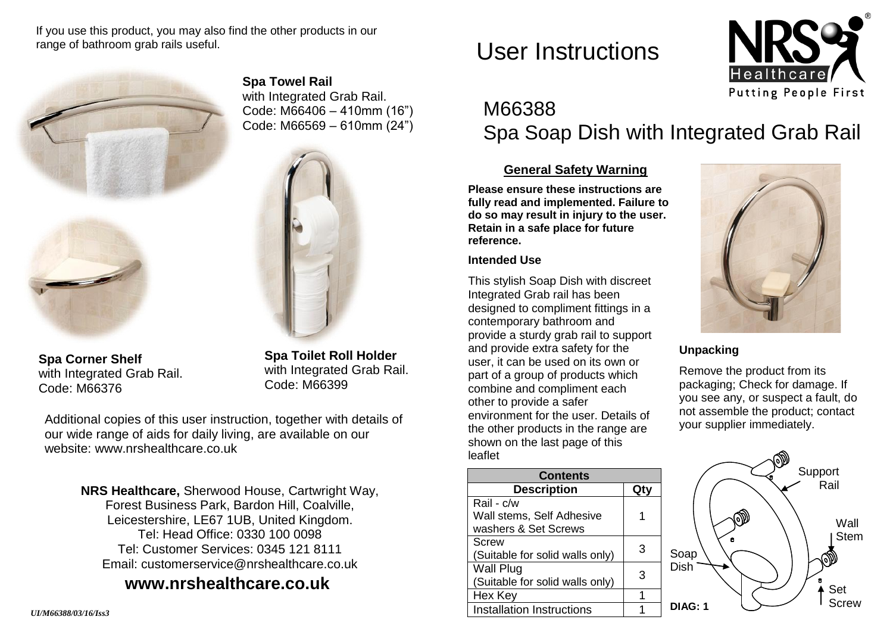If you use this product, you may also find the other products in our range of bathroom grab rails useful.



**Spa Towel Rail** with Integrated Grab Rail. Code: M66406 – 410mm (16") Code: M66569 – 610mm (24")



**Spa Corner Shelf** with Integrated Grab Rail. Code: M66376

**Spa Toilet Roll Holder** with Integrated Grab Rail. Code: M66399

Additional copies of this user instruction, together with details of our wide range of aids for daily living, are available on our website: [www.nrshealthcare.co.uk](http://www.nrshealthcare.co.uk/)

> **NRS Healthcare,** Sherwood House, Cartwright Way, Forest Business Park, Bardon Hill, Coalville, Leicestershire, LE67 1UB, United Kingdom. Tel: Head Office: 0330 100 0098 Tel: Customer Services: 0345 121 8111 Email: [customerservice@nrshealthcare.co.uk](mailto:customerservice@nrshealthcare.co.uk)

# **[www.nrshealthcare.co.uk](http://www.nrshealthcare.co.uk/)**

User Instructions



# M66388 Spa Soap Dish with Integrated Grab Rail

# **General Safety Warning**

**Please ensure these instructions are fully read and implemented. Failure to do so may result in injury to the user. Retain in a safe place for future reference.**

#### **Intended Use**

This stylish Soap Dish with discreet Integrated Grab rail has been designed to compliment fittings in a contemporary bathroom and provide a sturdy grab rail to support and provide extra safety for the user, it can be used on its own or part of a group of products which combine and compliment each other to provide a safer environment for the user. Details of the other products in the range are shown on the last page of this leaflet

| <b>Contents</b>                  |   |
|----------------------------------|---|
| <b>Description</b>               |   |
| Rail - c/w                       |   |
| Wall stems, Self Adhesive        |   |
| washers & Set Screws             |   |
| Screw                            | З |
| (Suitable for solid walls only)  |   |
| <b>Wall Plug</b>                 | З |
| (Suitable for solid walls only)  |   |
| Hex Key                          |   |
| <b>Installation Instructions</b> |   |



## **Unpacking**

Remove the product from its packaging; Check for damage. If you see any, or suspect a fault, do not assemble the product; contact your supplier immediately.